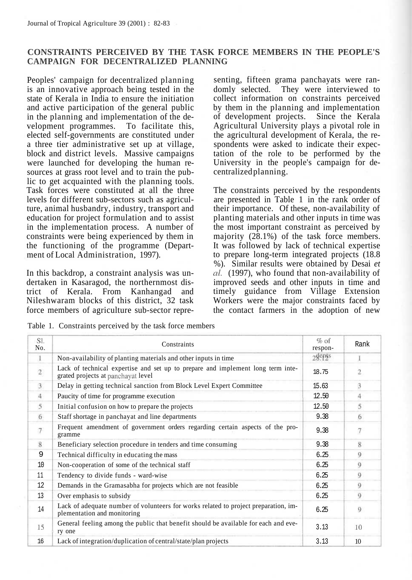## **CONSTRAINTS PERCEIVED BY THE TASK FORCE MEMBERS IN THE PEOPLE'S CAMPAIGN FOR DECENTRALIZED PLANNING**

Peoples' campaign for decentralized planning is an innovative approach being tested in the state of Kerala in India to ensure the initiation and active participation of the general public in the planning and implementation of the development programmes. To facilitate this, elected self-governments are constituted under a three tier administrative set up at village, block and district levels. Massive campaigns were launched for developing the human resources at grass root level and to train the public to get acquainted with the planning tools. Task forces were constituted at all the three levels for different sub-sectors such as agriculture, animal husbandry, industry, transport and education for project formulation and to assist in the implementation process. A number of constraints were being experienced by them in the functioning of the programme (Department of Local Administration, 1997).

In this backdrop, a constraint analysis was undertaken in Kasaragod, the northernmost district of Kerala. From Kanhangad and Nileshwaram blocks of this district, 32 task force members of agriculture sub-sector representing, fifteen grama panchayats were randomly selected. They were interviewed to collect information on constraints perceived by them in the planning and implementation of development projects. Since the Kerala Agricultural University plays a pivotal role in the agricultural development of Kerala, the respondents were asked to indicate their expectation of the role to be performed by the University in the people's campaign for decentralized planning.

The constraints perceived by the respondents are presented in Table 1 in the rank order of their importance. Of these, non-availability of planting materials and other inputs in time was the most important constraint as perceived by majority (28.1%) of the task force members. It was followed by lack of technical expertise to prepare long-term integrated projects (18.8 %). Similar results were obtained by Desai *et al.* (1997), who found that non-availability of improved seeds and other inputs in time and timely guidance from Village Extension Workers were the major constraints faced by the contact farmers in the adoption of new

Table 1. Constraints perceived by the task force members

| Sl.<br>No.   | Constraints                                                                                                           | $%$ of<br>respon-                   | Rank           |
|--------------|-----------------------------------------------------------------------------------------------------------------------|-------------------------------------|----------------|
| $\mathbf{1}$ | Non-availability of planting materials and other inputs in time                                                       | $28$ <sup>e</sup> $12$ <sup>s</sup> |                |
| $\,2$        | Lack of technical expertise and set up to prepare and implement long term inte-<br>grated projects at panchayat level | 18.75                               | $\overline{2}$ |
| 3            | Delay in getting technical sanction from Block Level Expert Committee                                                 | 15.63                               | 3              |
| 4            | Paucity of time for programme execution                                                                               | 12.50                               | Δ              |
| 5            | Initial confusion on how to prepare the projects                                                                      | 12.50                               | 5              |
| 6            | Staff shortage in panchayat and line departments                                                                      | 9.38                                | 6              |
| 7            | Frequent amendment of government orders regarding certain aspects of the pro-<br>gramme                               | 9.38                                | 7              |
| 8            | Beneficiary selection procedure in tenders and time consuming                                                         | 9.38                                | 8              |
| 9            | Technical difficulty in educating the mass                                                                            | 6.25                                | 9              |
| 10           | Non-cooperation of some of the technical staff                                                                        | 6.25                                | 9              |
| 11           | Tendency to divide funds - ward-wise                                                                                  | 6.25                                | 9              |
| 12           | Demands in the Gramasabha for projects which are not feasible                                                         | 6.25                                | 9              |
| 13           | Over emphasis to subsidy                                                                                              | 6.25                                | 9              |
| 14           | Lack of adequate number of volunteers for works related to project preparation, im-<br>plementation and monitoring    | 6.25                                | 9              |
| 15           | General feeling among the public that benefit should be available for each and eve-<br>ry one                         | 3.13                                | 10             |
| 16           | Lack of integration/duplication of central/state/plan projects                                                        | 3.13                                | 10             |